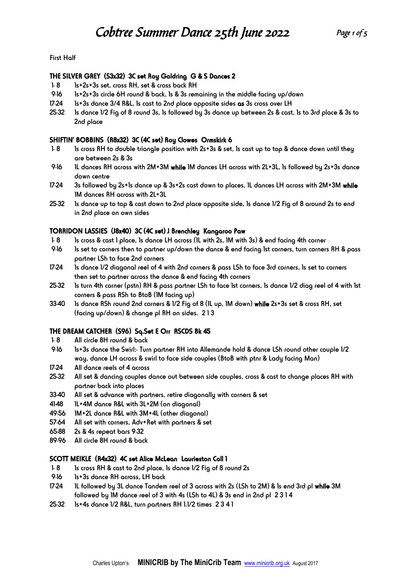First Half

#### THE SILVER GREY (S3x32) 3C set Roy Goldring G & S Dances 2

- 1-8 1s+2s+3s set, cross RH, set & cross back RH
- 9-16 1s+2s+3s circle 6H round & back, 1s & 3s remaining in the middle facing up/down
- 17-24 1s+3s dance 3/4 R&L, 1s cast to 2nd place opposite sides as 3s cross over LH
- 25-32 1s dance 1/2 Fig of 8 round 3s, 1s followed by 3s dance up between 2s & cast, 1s to 3rd place & 3s to 2nd place

#### SHIFTIN' BOBBINS (R8x32) 3C (4C set) Roy Clowes Ormskirk 6

- 1- 8 1s cross RH to double triangle position with 2s+3s & set, 1s cast up to top & dance down until they are between 2s & 3s
- 9-16 1L dances RH across with 2M+3M while 1M dances LH across with 2L+3L, 1s followed by 2s+3s dance down centre
- 17-24 3s followed by 2s+1s dance up & 3s+2s cast down to places, 1L dances LH across with 2M+3M while 1M dances RH across with 2L+3L
- 25-32 1s dance up to top & cast down to 2nd place opposite side, 1s dance 1/2 Fig of 8 around 2s to end in 2nd place on own sides

#### TORRIDON LASSIES (J8x40) 3C (4C set) J Brenchley Kangaroo Paw

- 1- 8 1s cross & cast 1 place, 1s dance LH across (1L with 2s, 1M with 3s) & end facing 4th corner
- 9-16 1s set to corners then to partner up/down the dance & end facing 1st corners, turn corners RH & pass partner LSh to face 2nd corners
- 17-24 1s dance 1/2 diagonal reel of 4 with 2nd corners & pass LSh to face 3rd corners, 1s set to corners then set to partner across the dance & end facing 4th corners
- 25-32 1s turn 4th corner (pstn) RH & pass partner LSh to face 1st corners, 1s dance 1/2 diag reel of 4 with 1st corners & pass RSh to BtoB (1M facing up)
- 33-40 1s dance RSh round 2nd corners & 1/2 Fig of 8 (1L up, 1M down) while 2s+3s set & cross RH, set (facing up/down) & change pl RH on sides. 2 1 3

# THE DREAM CATCHER (S96) Sq.Set E Orr RSCDS Bk 45

- 1-8 All circle 8H round & back
- 9-16 1s+3s dance the Swirl:- Turn partner RH into Allemande hold & dance LSh round other couple 1/2 way, dance LH across & swirl to face side couples (BtoB with ptnr & Lady facing Man)
- 17-24 All dance reels of 4 across
- 25-32 All set & dancing couples dance out between side couples, cross & cast to change places RH with partner back into places
- 33-40 All set & advance with partners, retire diagonally with corners & set
- 41-48 IL+4M dance R&L with 3L+2M (on diagonal)
- 49-56 1M+2L dance R&L with 3M+4L (other diagonal)
- 57-64 All set with corners, Adv+Ret with partners & set
- 65-88 2s & 4s repeat bars 9-32
- 89-96 All circle 8H round & back

#### SCOTT MEIKLE (R4x32) 4C set Alice McLean Laurieston Coll 1

- 1-8 1s cross RH & cast to 2nd place, 1s dance 1/2 Fig of 8 round 2s
- 9-16 1s+3s dance RH across, LH back
- 17-24 1L followed by 3L dance Tandem reel of 3 across with 2s (LSh to 2M) & 1s end 3rd pl while 3M followed by 1M dance reel of 3 with 4s (LSh to 4L) & 3s end in 2nd pl 2 3 1 4
- 25-32 1s+4s dance 1/2 R&L, turn partners RH 1.1/2 times 2 3 4 1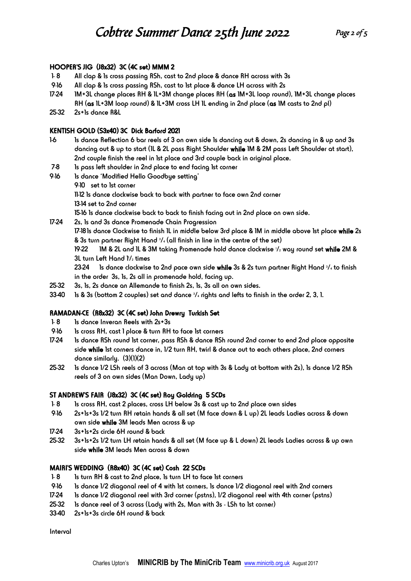# HOOPER'S JIG (J8x32) 3C (4C set) MMM 2

- 1- 8 All clap & 1s cross passing RSh, cast to 2nd place & dance RH across with 3s
- 9-16 All clap & 1s cross passing RSh, cast to 1st place & dance LH across with 2s
- 17-24 1M+3L change places RH & 1L+3M change places RH (as 1M+3L loop round), 1M+3L change places RH (as 1L+3M loop round) & 1L+3M cross LH 1L ending in 2nd place (as 1M casts to 2nd pl)
- 25-32 2s+1s dance R&L

# KENTISH GOLD (S3x40) 3C Dick Barford 2021

- 1-6 1s dance Reflection 6 bar reels of 3 on own side 1s dancing out & down, 2s dancing in & up and 3s dancing out & up to start (1L & 2L pass Right Shoulder while 1M & 2M pass Left Shoulder at start), 2nd couple finish the reel in 1st place and 3rd couple back in original place.
- 7-8 1s pass left shoulder in 2nd place to end facing 1st corner
- 9-16 1s dance 'Modified Hello Goodbye setting'
	- 9-10 set to 1st corner

11-12 1s dance clockwise back to back with partner to face own 2nd corner

13-14 set to 2nd corner

15-16 1s dance clockwise back to back to finish facing out in 2nd place on own side.

- 17-24 2s, 1s and 3s dance Promenade Chain Progression 17-181s dance Clockwise to finish 1L in middle below 3rd place & 1M in middle above 1st place while 2s & 3s turn partner Right Hand 3/4 (all finish in line in the centre of the set) 19-22 1M & 2L and 1L & 3M taking Promenade hold dance clockwise  $1/z$  way round set while 2M & 3L turn Left Hand 11/2 times 23-24 1s dance clockwise to 2nd pace own side while 3s & 2s turn partner Right Hand 3/4 to finish in the order 3s, 1s, 2s all in promenade hold, facing up.
- 25-32 3s, 1s, 2s dance an Allemande to finish 2s, 1s, 3s all on own sides.
- $33-40$  1s & 3s (bottom 2 couples) set and dance  $\frac{3}{4}$  rights and lefts to finish in the order 2, 3, 1.

# RAMADAN-CE (R8x32) 3C (4C set) John Drewry Turkish Set

- 1-8 1s dance Inveran Reels with 2s+3s
- 9-16 1s cross RH, cast 1 place & turn RH to face 1st corners
- 17-24 1s dance RSh round 1st corner, pass RSh & dance RSh round 2nd corner to end 2nd place opposite side while 1st corners dance in, 1/2 turn RH, twirl & dance out to each others place, 2nd corners dance similarly. (3)(1)(2)
- 25-32 1s dance 1/2 LSh reels of 3 across (Man at top with 3s & Lady at bottom with 2s), 1s dance 1/2 RSh reels of 3 on own sides (Man Down, Lady up)

# ST ANDREW'S FAIR (J8x32) 3C (4C set) Roy Goldring 5 SCDs

- 1- 8 1s cross RH, cast 2 places, cross LH below 3s & cast up to 2nd place own sides
- 9-16 2s+1s+3s 1/2 turn RH retain hands & all set (M face down & L up) 2L leads Ladies across & down own side while 3M leads Men across & up
- 17-24 3s+1s+2s circle 6H round & back
- 25-32 3s+1s+2s 1/2 turn LH retain hands & all set (M face up & L down) 2L leads Ladies across & up own side while 3M leads Men across & down

# MAIRI'S WEDDING (R8x40) 3C (4C set) Cosh 22 SCDs

- 1-8 1s turn RH & cast to 2nd place, 1s turn LH to face 1st corners
- 9-16 1s dance 1/2 diagonal reel of 4 with 1st corners, 1s dance 1/2 diagonal reel with 2nd corners
- 17-24 1s dance 1/2 diagonal reel with 3rd corner (pstns), 1/2 diagonal reel with 4th corner (pstns)
- 25-32 1s dance reel of 3 across (Lady with 2s, Man with 3s LSh to 1st corner)
- 33-40 2s+1s+3s circle 6H round & back

Interval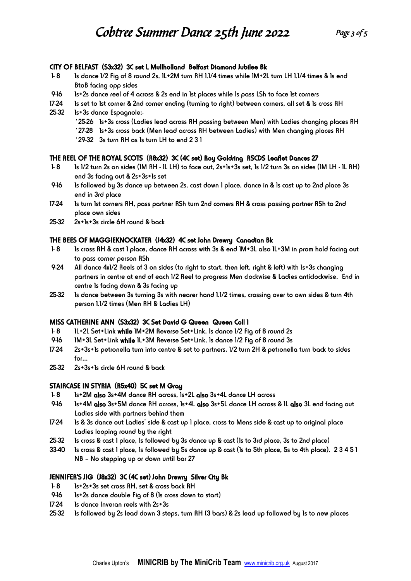#### CITY OF BELFAST (S3x32) 3C set L Mullholland Belfast Diamond Jubilee Bk

- 1- 8 1s dance 1/2 Fig of 8 round 2s, 1L+2M turn RH 1.1/4 times while 1M+2L turn LH 1.1/4 times & 1s end BtoB facing opp sides
- 9-16 1s+2s dance reel of 4 across & 2s end in 1st places while 1s pass LSh to face 1st corners
- 17-24 1s set to 1st corner & 2nd corner ending (turning to right) between corners, all set & 1s cross RH
- 25-32 1s+3s dance Espagnole:- `25-26 1s+3s cross (Ladies lead across RH passing between Men) with Ladies changing places RH `27-28 1s+3s cross back (Men lead across RH between Ladies) with Men changing places RH `29-32 3s turn RH as 1s turn LH to end 2 3 1

# THE REEL OF THE ROYAL SCOTS (R8x32) 3C (4C set) Roy Goldring RSCDS Leaflet Dances 27

- 1- 8 1s 1/2 turn 2s on sides (1M RH 1L LH) to face out, 2s+1s+3s set, 1s 1/2 turn 3s on sides (1M LH 1L RH) end 3s facing out & 2s+3s+1s set
- 9-16 1s followed by 3s dance up between 2s, cast down 1 place, dance in & 1s cast up to 2nd place 3s end in 3rd place
- 17-24 1s turn 1st corners RH, pass partner RSh turn 2nd corners RH & cross passing partner RSh to 2nd place own sides
- 25-32 2s+1s+3s circle 6H round & back

#### THE BEES OF MAGGIEKNOCKATER (J4x32) 4C set John Drewry Canadian Bk

- 1-8 1s cross RH & cast 1 place, dance RH across with 3s & end 1M+3L also 1L+3M in prom hold facing out to pass corner person RSh
- 9-24 All dance 4x1/2 Reels of 3 on sides (to right to start, then left, right & left) with 1s+3s changing partners in centre at end of each 1/2 Reel to progress Men clockwise & Ladies anticlockwise. End in centre 1s facing down & 3s facing up
- 25-32 1s dance between 3s turning 3s with nearer hand 1.1/2 times, crossing over to own sides & turn 4th person 1.1/2 times (Men RH & Ladies LH)

#### MISS CATHERINE ANN (S3x32) 3C Set David G Queen Queen Coll 1

- 1-8 1L+2L Set+Link while 1M+2M Reverse Set+Link, 1s dance 1/2 Fig of 8 round 2s
- 9-16 1M+3L Set+Link while 1L+3M Reverse Set+Link, 1s dance 1/2 Fig of 8 round 3s
- 17-24 2s+3s+1s petronella turn into centre & set to partners, 1/2 turn 2H & petronella turn back to sides for…
- 25-32 2s+3s+1s circle 6H round & back

# STAIRCASE IN STYRIA (R5x40) 5C set M Gray

- 1-8 1s+2M also 3s+4M dance RH across, 1s+2L also 3s+4L dance LH across
- 9-16 1s+4M also 3s+5M dance RH across, 1s+4L also 3s+5L dance LH across & 1L also 3L end facing out Ladies side with partners behind them
- 17-24 1s & 3s dance out Ladies' side & cast up 1 place, cross to Mens side & cast up to original place Ladies looping round by the right
- 25-32 1s cross & cast 1 place, 1s followed by 3s dance up & cast (1s to 3rd place, 3s to 2nd place)
- 33-40 1s cross & cast 1 place, 1s followed by 5s dance up & cast (1s to 5th place, 5s to 4th place). 2 3 4 5 1 NB – No stepping up or down until bar 27

# JENNIFER'S JIG (J8x32) 3C (4C set) John Drewry Silver City Bk

- 1- 8 1s+2s+3s set cross RH, set & cross back RH
- 9-16 1s+2s dance double Fig of 8 (1s cross down to start)
- 17-24 1s dance Inveran reels with 2s+3s
- 25-32 1s followed by 2s lead down 3 steps, turn RH (3 bars) & 2s lead up followed by 1s to new places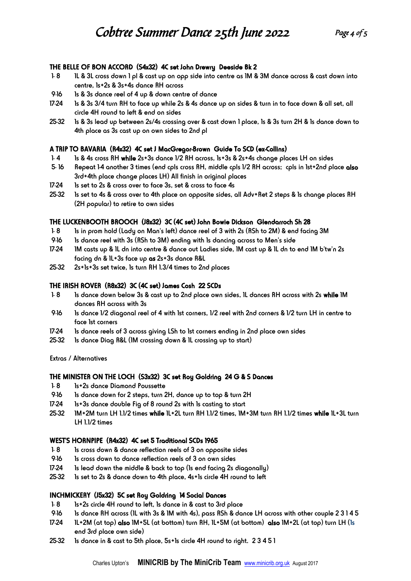#### THE BELLE OF BON ACCORD (S4x32) 4C set John Drewry Deeside Bk 2

- 1- 8 1L & 3L cross down 1 pl & cast up on opp side into centre as 1M & 3M dance across & cast down into centre, 1s+2s & 3s+4s dance RH across
- 9-16 1s & 3s dance reel of 4 up & down centre of dance
- 17-24 1s & 3s 3/4 turn RH to face up while 2s & 4s dance up on sides & turn in to face down & all set, all circle 4H round to left & end on sides
- 25-32 1s & 3s lead up between 2s/4s crossing over & cast down 1 place, 1s & 3s turn 2H & 1s dance down to 4th place as 3s cast up on own sides to 2nd pl

# A TRIP TO BAVARIA (R4x32) 4C set J MacGregor-Brown Guide To SCD (ex-Collins)

- 1-4 1s & 4s cross RH while 2s+3s dance 1/2 RH across, 1s+3s & 2s+4s change places LH on sides
- 5- 16 Repeat 1-4 another 3 times (end cpls cross RH, middle cpls 1/2 RH across; cpls in 1st+2nd place also 3rd+4th place change places LH) All finish in original places
- 17-24 1s set to 2s & cross over to face 3s, set & cross to face 4s
- 25-32 1s set to 4s & cross over to 4th place on opposite sides, all Adv+Ret 2 steps & 1s change places RH (2H popular) to retire to own sides

# THE LUCKENBOOTH BROOCH (J8x32) 3C (4C set) John Bowie Dickson Glendarroch Sh 28

- 1-8 1s in prom hold (Lady on Man's left) dance reel of 3 with 2s (RSh to 2M) & end facing 3M
- 9-16 1s dance reel with 3s (RSh to 3M) ending with 1s dancing across to Men's side
- 17-24 1M casts up & 1L dn into centre & dance out Ladies side, 1M cast up & 1L dn to end 1M b'tw'n 2s facing dn & 1L+3s face up as 2s+3s dance R&L
- 25-32 2s+1s+3s set twice, 1s turn RH 1.3/4 times to 2nd places

# THE IRISH ROVER (R8x32) 3C (4C set) James Cosh 22 SCDs

- 1-8 1s dance down below 3s & cast up to 2nd place own sides, 1L dances RH across with 2s while 1M dances RH across with 3s
- 9-16 1s dance 1/2 diagonal reel of 4 with 1st corners, 1/2 reel with 2nd corners & 1/2 turn LH in centre to face 1st corners
- 17-24 1s dance reels of 3 across giving LSh to 1st corners ending in 2nd place own sides
- 25-32 1s dance Diag R&L (1M crossing down & 1L crossing up to start)

Extras / Alternatives

# THE MINISTER ON THE LOCH (S3x32) 3C set Roy Goldring 24 G & S Dances

- 1-8 1s+2s dance Diamond Poussette
- 9-16 1s dance down for 2 steps, turn 2H, dance up to top & turn 2H
- 17-24 1s+3s dance double Fig of 8 round 2s with 1s casting to start
- 25-32 1M+2M turn LH 1.1/2 times while 1L+2L turn RH 1.1/2 times, 1M+3M turn RH 1.1/2 times while 1L+3L turn LH 1.1/2 times

# WEST'S HORNPIPE (R4x32) 4C set 5 Traditional SCDs 1965

- 1-8 1s cross down & dance reflection reels of 3 on opposite sides
- 9-16 1s cross down to dance reflection reels of 3 on own sides
- 17-24 1s lead down the middle & back to top (1s end facing 2s diagonally)
- 25-32 1s set to 2s & dance down to 4th place, 4s+1s circle 4H round to left

# INCHMICKERY (J5x32) 5C set Roy Goldring 14 Social Dances

- 1-8 1s+2s circle 4H round to left, 1s dance in & cast to 3rd place
- 9-16 1s dance RH across (1L with 3s & 1M with 4s), pass RSh & dance LH across with other couple 2 3 1 4 5
- 17-24 1L+2M (at top) also 1M+5L (at bottom) turn RH, 1L+5M (at bottom) also 1M+2L (at top) turn LH (1s end 3rd place own side)
- 25-32 1s dance in & cast to 5th place, 5s+1s circle 4H round to right. 2 3 4 5 1